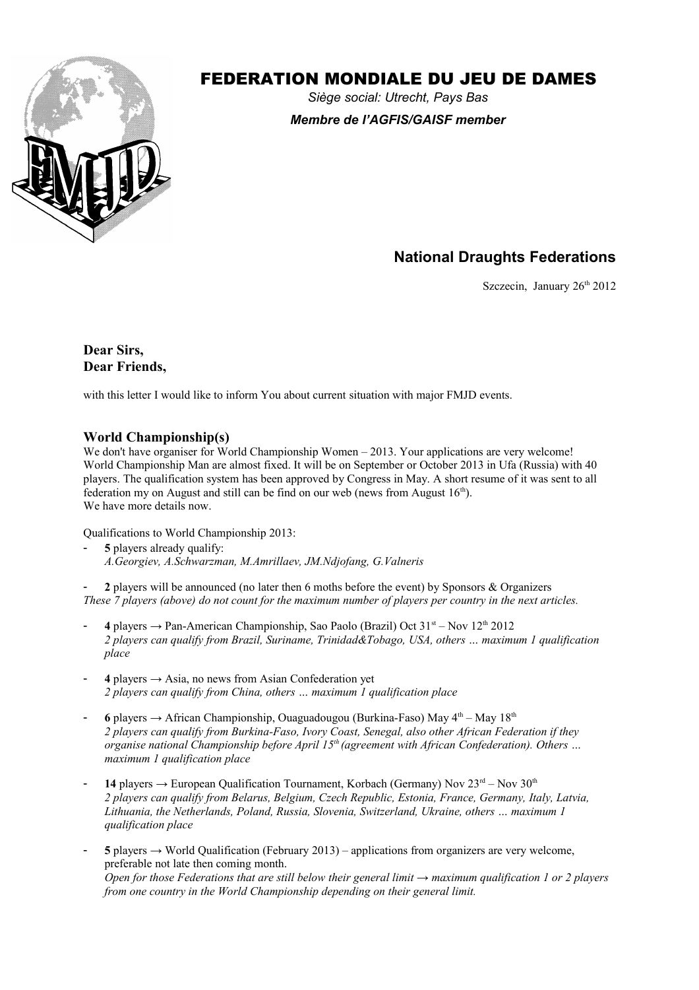

# FEDERATION MONDIALE DU JEU DE DAMES

*Siège social: Utrecht, Pays Bas Membre de l'AGFIS/GAISF member*

# **National Draughts Federations**

Szczecin, January  $26<sup>th</sup> 2012$ 

**Dear Sirs, Dear Friends,**

with this letter I would like to inform You about current situation with major FMJD events.

#### **World Championship(s)**

We don't have organiser for World Championship Women – 2013. Your applications are very welcome! World Championship Man are almost fixed. It will be on September or October 2013 in Ufa (Russia) with 40 players. The qualification system has been approved by Congress in May. A short resume of it was sent to all federation my on August and still can be find on our web (news from August  $16<sup>th</sup>$ ). We have more details now.

Qualifications to World Championship 2013:

- **5** players already qualify: *A.Georgiev, A.Schwarzman, M.Amrillaev, JM.Ndjofang, G.Valneris*

- **2** players will be announced (no later then 6 moths before the event) by Sponsors & Organizers *These 7 players (above) do not count for the maximum number of players per country in the next articles.*

- 4 players  $\rightarrow$  Pan-American Championship, Sao Paolo (Brazil) Oct 31<sup>st</sup> Nov 12<sup>th</sup> 2012 *2 players can qualify from Brazil, Suriname, Trinidad&Tobago, USA, others … maximum 1 qualification place*
- $4$  players  $\rightarrow$  Asia, no news from Asian Confederation yet *2 players can qualify from China, others … maximum 1 qualification place*
- 6 players  $\rightarrow$  African Championship, Ouaguadougou (Burkina-Faso) May  $4^{\text{th}}$  May  $18^{\text{th}}$ *2 players can qualify from Burkina-Faso, Ivory Coast, Senegal, also other African Federation if they organise national Championship before April 15th (agreement with African Confederation). Others … maximum 1 qualification place*
- 14 players  $\rightarrow$  European Qualification Tournament, Korbach (Germany) Nov  $23<sup>rd</sup>$  Nov  $30<sup>th</sup>$ *2 players can qualify from Belarus, Belgium, Czech Republic, Estonia, France, Germany, Italy, Latvia, Lithuania, the Netherlands, Poland, Russia, Slovenia, Switzerland, Ukraine, others … maximum 1 qualification place*
- $5$  players  $\rightarrow$  World Qualification (February 2013) applications from organizers are very welcome, preferable not late then coming month. *Open for those Federations that are still below their general limit → maximum qualification 1 or 2 players from one country in the World Championship depending on their general limit.*